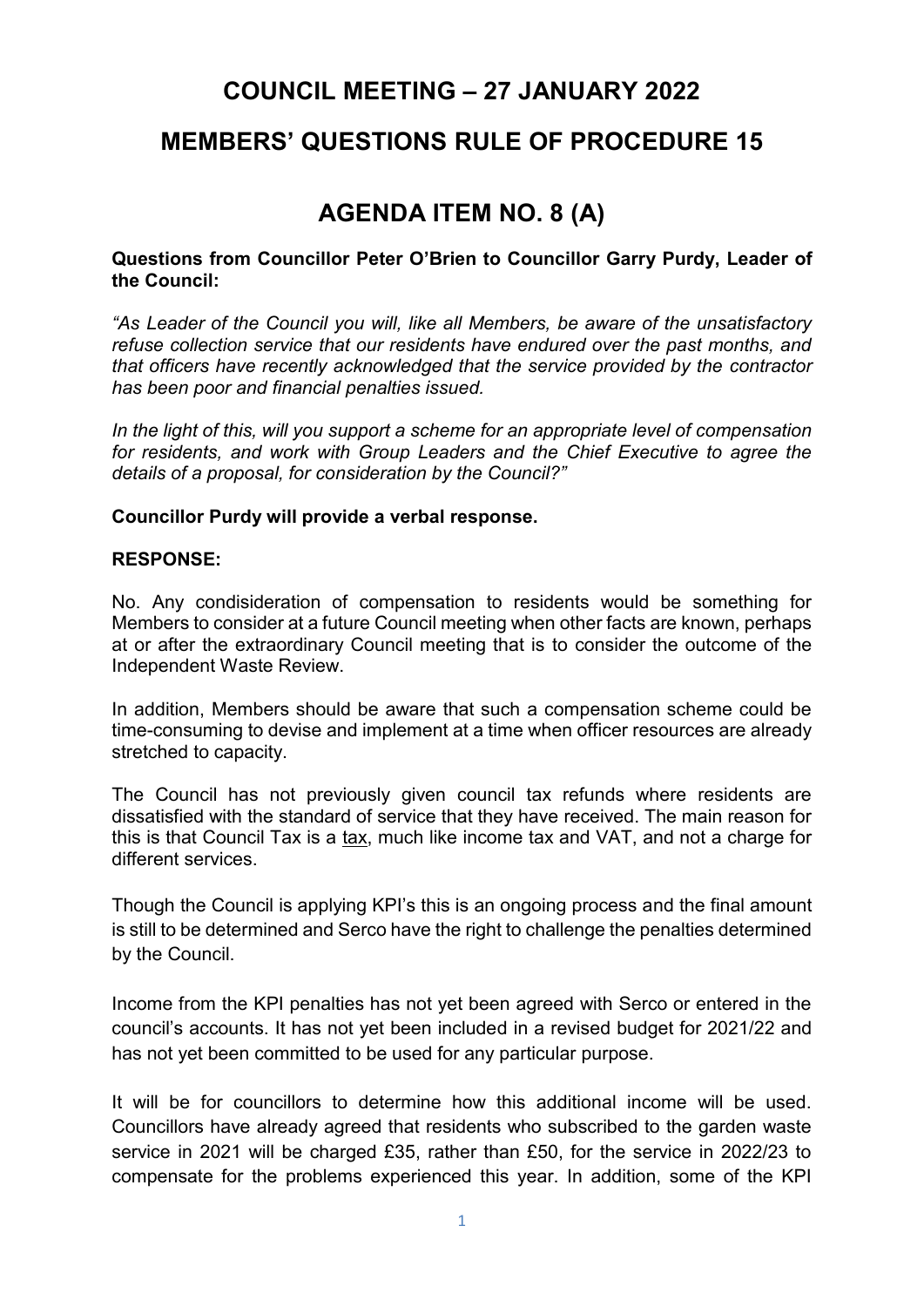# **COUNCIL MEETING – 27 JANUARY 2022**

# **MEMBERS' QUESTIONS RULE OF PROCEDURE 15**

# **AGENDA ITEM NO. 8 (A)**

### **Questions from Councillor Peter O'Brien to Councillor Garry Purdy, Leader of the Council:**

*"As Leader of the Council you will, like all Members, be aware of the unsatisfactory refuse collection service that our residents have endured over the past months, and that officers have recently acknowledged that the service provided by the contractor has been poor and financial penalties issued.*

*In the light of this, will you support a scheme for an appropriate level of compensation for residents, and work with Group Leaders and the Chief Executive to agree the details of a proposal, for consideration by the Council?"*

### **Councillor Purdy will provide a verbal response.**

#### **RESPONSE:**

No. Any condisideration of compensation to residents would be something for Members to consider at a future Council meeting when other facts are known, perhaps at or after the extraordinary Council meeting that is to consider the outcome of the Independent Waste Review.

In addition, Members should be aware that such a compensation scheme could be time-consuming to devise and implement at a time when officer resources are already stretched to capacity.

The Council has not previously given council tax refunds where residents are dissatisfied with the standard of service that they have received. The main reason for this is that Council Tax is a tax, much like income tax and VAT, and not a charge for different services.

Though the Council is applying KPI's this is an ongoing process and the final amount is still to be determined and Serco have the right to challenge the penalties determined by the Council.

Income from the KPI penalties has not yet been agreed with Serco or entered in the council's accounts. It has not yet been included in a revised budget for 2021/22 and has not yet been committed to be used for any particular purpose.

It will be for councillors to determine how this additional income will be used. Councillors have already agreed that residents who subscribed to the garden waste service in 2021 will be charged £35, rather than £50, for the service in 2022/23 to compensate for the problems experienced this year. In addition, some of the KPI